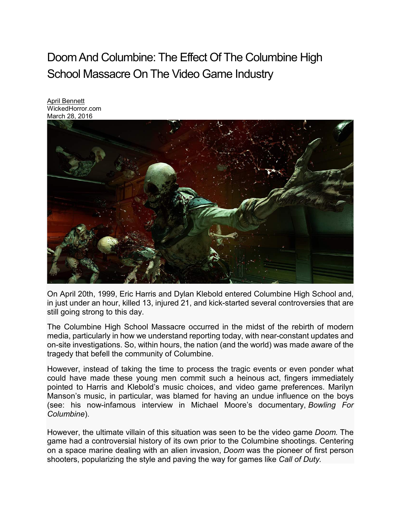## Doom And Columbine: The Effect Of The Columbine High School Massacre On The Video Game Industry

April [Bennett](http://wickedhorror.com/author/aprilbennett/) WickedHorror.com March 28, 2016



On April 20th, 1999, Eric Harris and Dylan Klebold entered Columbine High School and, in just under an hour, killed 13, injured 21, and kick-started several controversies that are still going strong to this day.

The Columbine High School Massacre occurred in the midst of the rebirth of modern media, particularly in how we understand reporting today, with near-constant updates and on-site investigations. So, within hours, the nation (and the world) was made aware of the tragedy that befell the community of Columbine.

However, instead of taking the time to process the tragic events or even ponder what could have made these young men commit such a heinous act, fingers immediately pointed to Harris and Klebold's music choices, and video game preferences. Marilyn Manson's music, in particular, was blamed for having an undue influence on the boys (see: his now-infamous interview in Michael Moore's documentary, *Bowling For Columbine*).

However, the ultimate villain of this situation was seen to be the video game *Doom.* The game had a controversial history of its own prior to the Columbine shootings. Centering on a space marine dealing with an alien invasion, *Doom* was the pioneer of first person shooters, popularizing the style and paving the way for games like *Call of Duty.*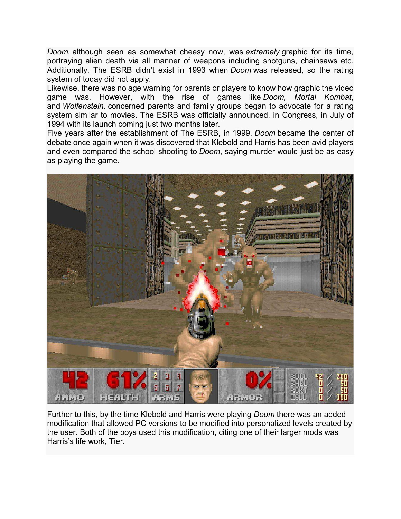*Doom,* although seen as somewhat cheesy now, was *extremely* graphic for its time, portraying alien death via all manner of weapons including shotguns, chainsaws etc. Additionally, The ESRB didn't exist in 1993 when *Doom* was released, so the rating system of today did not apply.

Likewise, there was no age warning for parents or players to know how graphic the video game was. However, with the rise of games like *Doom, Mortal Kombat*, and *Wolfenstein,* concerned parents and family groups began to advocate for a rating system similar to movies. The ESRB was officially announced, in Congress, in July of 1994 with its launch coming just two months later.

Five years after the establishment of The ESRB, in 1999, *Doom* became the center of debate once again when it was discovered that Klebold and Harris has been avid players and even compared the school shooting to *Doom*, saying murder would just be as easy as playing the game.



Further to this, by the time Klebold and Harris were playing *Doom* there was an added modification that allowed PC versions to be modified into personalized levels created by the user. Both of the boys used this modification, citing one of their larger mods was Harris's life work, Tier.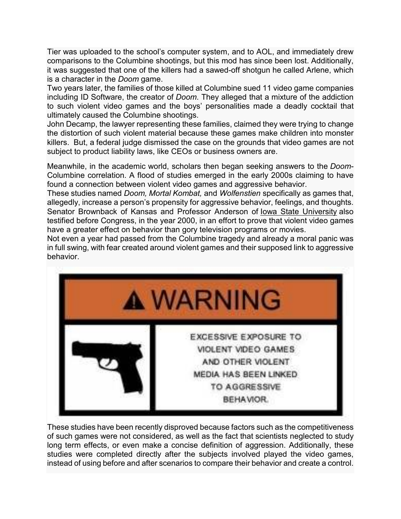Tier was uploaded to the school's computer system, and to AOL, and immediately drew comparisons to the Columbine shootings, but this mod has since been lost. Additionally, it was suggested that one of the killers had a sawed-off shotgun he called Arlene, which is a character in the *Doom* game.

Two years later, the families of those killed at Columbine sued 11 video game companies including ID Software, the creator of *Doom*. They alleged that a mixture of the addiction to such violent video games and the boys' personalities made a deadly cocktail that ultimately caused the Columbine shootings.

John Decamp, the lawyer representing these families, claimed they were trying to change the distortion of such violent material because these games make children into monster killers. But, a federal judge dismissed the case on the grounds that video games are not subject to product liability laws, like CEOs or business owners are.

Meanwhile, in the academic world, scholars then began seeking answers to the *Doom-*Columbine correlation. A flood of studies emerged in the early 2000s claiming to have found a connection between violent video games and aggressive behavior.

These studies named *Doom, Mortal Kombat,* and *Wolfenstien* specifically as games that, allegedly, increase a person's propensity for aggressive behavior, feelings, and thoughts. Senator Brownback of Kansas and Professor Anderson of Iowa State [University](http://maps.google.com/maps?ll=42.023949,-93.647595&spn=0.01,0.01&q=42.023949,-93.647595%20(Iowa%20State%20University)&t=h) also testified before Congress, in the year 2000, in an effort to prove that violent video games have a greater effect on behavior than gory television programs or movies.

Not even a year had passed from the Columbine tragedy and already a moral panic was in full swing, with fear created around violent games and their supposed link to aggressive behavior.



These studies have been recently disproved because factors such as the competitiveness of such games were not considered, as well as the fact that scientists neglected to study long term effects, or even make a concise definition of aggression. Additionally, these studies were completed directly after the subjects involved played the video games, instead of using before and after scenarios to compare their behavior and create a control.